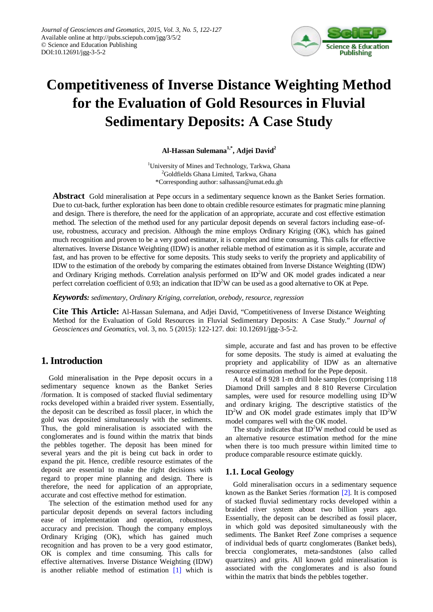

# **Competitiveness of Inverse Distance Weighting Method for the Evaluation of Gold Resources in Fluvial Sedimentary Deposits: A Case Study**

**Al-Hassan Sulemana1,\*, Adjei David2**

<sup>1</sup>University of Mines and Technology, Tarkwa, Ghana 2 Goldfields Ghana Limited, Tarkwa, Ghana \*Corresponding author: salhassan@umat.edu.gh

**Abstract** Gold mineralisation at Pepe occurs in a sedimentary sequence known as the Banket Series formation. Due to cut-back, further exploration has been done to obtain credible resource estimates for pragmatic mine planning and design. There is therefore, the need for the application of an appropriate, accurate and cost effective estimation method. The selection of the method used for any particular deposit depends on several factors including ease–ofuse, robustness, accuracy and precision. Although the mine employs Ordinary Kriging (OK), which has gained much recognition and proven to be a very good estimator, it is complex and time consuming. This calls for effective alternatives. Inverse Distance Weighting (IDW) is another reliable method of estimation as it is simple, accurate and fast, and has proven to be effective for some deposits. This study seeks to verify the propriety and applicability of IDW to the estimation of the orebody by comparing the estimates obtained from Inverse Distance Weighting (IDW) and Ordinary Kriging methods. Correlation analysis performed on  $ID<sup>2</sup>W$  and OK model grades indicated a near perfect correlation coefficient of 0.93; an indication that  $ID^2W$  can be used as a good alternative to OK at Pepe.

*Keywords: sedimentary, Ordinary Kriging, correlation, orebody, resource, regression*

**Cite This Article:** Al-Hassan Sulemana, and Adjei David, "Competitiveness of Inverse Distance Weighting Method for the Evaluation of Gold Resources in Fluvial Sedimentary Deposits: A Case Study." *Journal of Geosciences and Geomatics*, vol. 3, no. 5 (2015): 122-127. doi: 10.12691/jgg-3-5-2.

# **1. Introduction**

Gold mineralisation in the Pepe deposit occurs in a sedimentary sequence known as the Banket Series /formation. It is composed of stacked fluvial sedimentary rocks developed within a braided river system. Essentially, the deposit can be described as fossil placer, in which the gold was deposited simultaneously with the sediments. Thus, the gold mineralisation is associated with the conglomerates and is found within the matrix that binds the pebbles together. The deposit has been mined for several years and the pit is being cut back in order to expand the pit. Hence, credible resource estimates of the deposit are essential to make the right decisions with regard to proper mine planning and design. There is therefore, the need for application of an appropriate, accurate and cost effective method for estimation.

The selection of the estimation method used for any particular deposit depends on several factors including ease of implementation and operation, robustness, accuracy and precision. Though the company employs Ordinary Kriging (OK), which has gained much recognition and has proven to be a very good estimator, OK is complex and time consuming. This calls for effective alternatives. Inverse Distance Weighting (IDW) is another reliable method of estimation [\[1\]](#page-5-0) which is simple, accurate and fast and has proven to be effective for some deposits. The study is aimed at evaluating the propriety and applicability of IDW as an alternative resource estimation method for the Pepe deposit.

A total of 8 928 1-m drill hole samples (comprising 118 Diamond Drill samples and 8 810 Reverse Circulation samples, were used for resource modelling using  $ID<sup>2</sup>W$ and ordinary kriging. The descriptive statistics of the  $ID<sup>2</sup>W$  and OK model grade estimates imply that  $ID<sup>2</sup>W$ model compares well with the OK model.

The study indicates that  $ID<sup>2</sup>W$  method could be used as an alternative resource estimation method for the mine when there is too much pressure within limited time to produce comparable resource estimate quickly.

## **1.1. Local Geology**

Gold mineralisation occurs in a sedimentary sequence known as the Banket Series /formation [\[2\].](#page-5-1) It is composed of stacked fluvial sedimentary rocks developed within a braided river system about two billion years ago. Essentially, the deposit can be described as fossil placer, in which gold was deposited simultaneously with the sediments. The Banket Reef Zone comprises a sequence of individual beds of quartz conglomerates (Banket beds), breccia conglomerates, meta-sandstones (also called quartzites) and grits. All known gold mineralisation is associated with the conglomerates and is also found within the matrix that binds the pebbles together.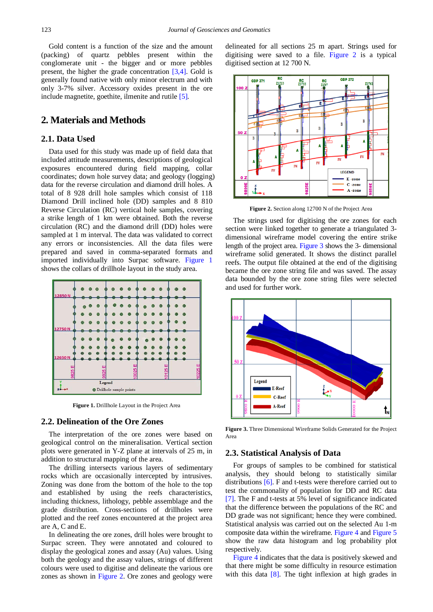Gold content is a function of the size and the amount (packing) of quartz pebbles present within the conglomerate unit - the bigger and or more pebbles present, the higher the grade concentration [\[3,4\].](#page-5-2) Gold is generally found native with only minor electrum and with only 3-7% silver. Accessory oxides present in the ore include magnetite, goethite, ilmenite and rutile [\[5\].](#page-5-3)

# **2. Materials and Methods**

## **2.1. Data Used**

Data used for this study was made up of field data that included attitude measurements, descriptions of geological exposures encountered during field mapping, collar coordinates; down hole survey data; and geology (logging) data for the reverse circulation and diamond drill holes. A total of 8 928 drill hole samples which consist of 118 Diamond Drill inclined hole (DD) samples and 8 810 Reverse Circulation (RC) vertical hole samples, covering a strike length of 1 km were obtained. Both the reverse circulation (RC) and the diamond drill (DD) holes were sampled at 1 m interval. The data was validated to correct any errors or inconsistencies. All the data files were prepared and saved in comma-separated formats and imported individually into Surpac software. [Figure 1](#page-1-0) shows the collars of drillhole layout in the study area.

<span id="page-1-0"></span>

**Figure 1.** Drillhole Layout in the Project Area

#### **2.2. Delineation of the Ore Zones**

The interpretation of the ore zones were based on geological control on the mineralisation. Vertical section plots were generated in Y-Z plane at intervals of 25 m, in addition to structural mapping of the area.

The drilling intersects various layers of sedimentary rocks which are occasionally intercepted by intrusives. Zoning was done from the bottom of the hole to the top and established by using the reefs characteristics, including thickness, lithology, pebble assemblage and the grade distribution. Cross-sections of drillholes were plotted and the reef zones encountered at the project area are A, C and E.

In delineating the ore zones, drill holes were brought to Surpac screen. They were annotated and coloured to display the geological zones and assay (Au) values. Using both the geology and the assay values, strings of different colours were used to digitise and delineate the various ore zones as shown in [Figure 2.](#page-1-1) Ore zones and geology were

delineated for all sections 25 m apart. Strings used for digitising were saved to a file. [Figure 2](#page-1-1) is a typical digitised section at 12 700 N.

<span id="page-1-1"></span>

**Figure 2.** Section along 12700 N of the Project Area

The strings used for digitising the ore zones for each section were linked together to generate a triangulated 3 dimensional wireframe model covering the entire strike length of the project area. [Figure 3](#page-1-2) shows the 3- dimensional wireframe solid generated. It shows the distinct parallel reefs. The output file obtained at the end of the digitising became the ore zone string file and was saved. The assay data bounded by the ore zone string files were selected and used for further work.

<span id="page-1-2"></span>

**Figure 3.** Three Dimensional Wireframe Solids Generated for the Project Area

#### **2.3. Statistical Analysis of Data**

For groups of samples to be combined for statistical analysis, they should belong to statistically similar distributions [\[6\].](#page-5-4) F and t-tests were therefore carried out to test the commonality of population for DD and RC data [\[7\].](#page-5-5) The F and t-tests at 5% level of significance indicated that the difference between the populations of the RC and DD grade was not significant; hence they were combined. Statistical analysis was carried out on the selected Au 1-m composite data within the wireframe. [Figure 4](#page-2-0) an[d Figure 5](#page-2-1) show the raw data histogram and log probability plot respectively

[Figure 4](#page-2-0) indicates that the data is positively skewed and that there might be some difficulty in resource estimation with this data [\[8\].](#page-5-6) The tight inflexion at high grades in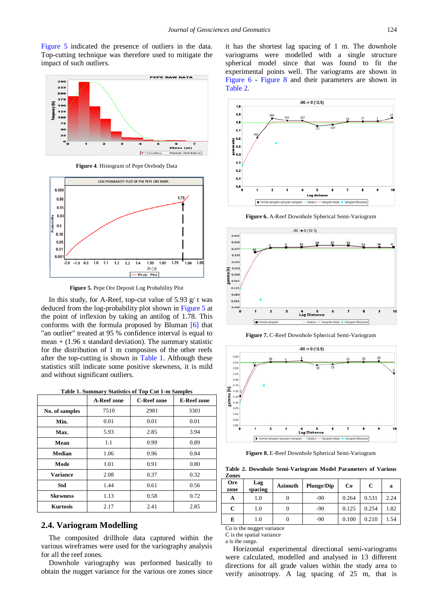[Figure 5](#page-2-1) indicated the presence of outliers in the data. Top-cutting technique was therefore used to mitigate the impact of such outliers.

<span id="page-2-0"></span>

**Figure 4**. Histogram of Pepe Orebody Data

<span id="page-2-1"></span>

**Figure 5.** Pepe Ore Deposit Log Probability Plot

In this study, for A-Reef, top-cut value of 5.93  $g/t$  was deduced from the log-probability plot shown in [Figure 5](#page-2-1) at the point of inflexion by taking an antilog of 1.78. This conforms with the formula proposed by Bluman [\[6\]](#page-5-4) that "an outlier" treated at 95 % confidence interval is equal to mean  $+$  (1.96 x standard deviation). The summary statistic for the distribution of 1 m composites of the other reefs after the top-cutting is shown in [Table 1.](#page-2-2) Although these statistics still indicate some positive skewness, it is mild and without significant outliers.

| Table 1. Summary Statistics of Top Cut 1-m Samples |
|----------------------------------------------------|
|----------------------------------------------------|

<span id="page-2-2"></span>

|                 | <b>A-Reef zone</b> | <b>C-Reef zone</b> | <b>E-Reef zone</b> |
|-----------------|--------------------|--------------------|--------------------|
| No. of samples  | 7510               | 2981               | 3301               |
| Min.            | 0.01               | 0.01               | 0.01               |
| Max.            | 5.93               | 2.85               | 3.94               |
| Mean            | 1.1                | 0.99               | 0.89               |
| Median          | 1.06               | 0.96               | 0.84               |
| Mode            | 1.01               | 0.91               | 0.80               |
| <b>Variance</b> | 2.08               | 0.37               | 0.32               |
| Std             | 1.44               | 0.61               | 0.56               |
| <b>Skewness</b> | 1.13               | 0.58               | 0.72               |
| <b>Kurtosis</b> | 2.17               | 2.41               | 2.85               |

#### **2.4. Variogram Modelling**

The composited drillhole data captured within the various wireframes were used for the variography analysis for all the reef zones.

Downhole variography was performed basically to obtain the nugget variance for the various ore zones since it has the shortest lag spacing of 1 m. The downhole variograms were modelled with a single structure spherical model since that was found to fit the experimental points well. The variograms are shown in [Figure 6](#page-2-3) - [Figure 8](#page-2-4) and their parameters are shown in [Table 2.](#page-2-5)

<span id="page-2-3"></span>

**Figure 6.** A-Reef Downhole Spherical Semi-Variogram



**Figure 7.** C-Reef Downhole Spherical Semi-Variogram

<span id="page-2-4"></span>

**Figure 8.** E-Reef Downhole Spherical Semi-Variogram

**Table 2. Downhole Semi-Variogram Model Parameters of Various Zones**

<span id="page-2-5"></span>

| <b>Ore</b><br>zone | Lag<br>spacing | Azimuth | <b>Plunge/Dip</b> | Co    | C     | a    |
|--------------------|----------------|---------|-------------------|-------|-------|------|
| A                  | 1.0            |         | -90               | 0.264 | 0.531 | 2.24 |
| C                  | 1.0            |         | $-90$             | 0.125 | 0.254 | 1.82 |
| E                  | 1.0            |         | -90               | 0.100 | 0.210 | 1.54 |

Co is the nugget variance C is the spatial variance

a is the range.

Horizontal experimental directional semi-variograms were calculated, modelled and analysed in 13 different directions for all grade values within the study area to verify anisotropy. A lag spacing of 25 m, that is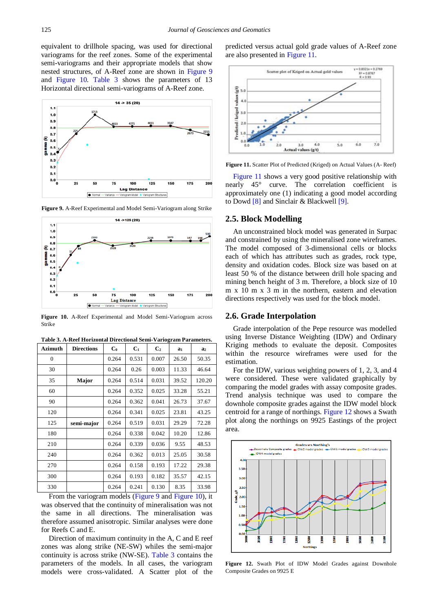equivalent to drillhole spacing, was used for directional variograms for the reef zones. Some of the experimental semi-variograms and their appropriate models that show nested structures, of A-Reef zone are shown in [Figure 9](#page-3-0) and [Figure 10.](#page-3-1) [Table 3](#page-3-2) shows the parameters of 13 Horizontal directional semi-variograms of A-Reef zone.

<span id="page-3-0"></span>

**Figure 9.** A-Reef Experimental and Model Semi-Variogram along Strike

<span id="page-3-1"></span>

**Figure 10.** A-Reef Experimental and Model Semi-Variogram across Strike

<span id="page-3-2"></span>

| <b>Azimuth</b> | <b>Directions</b> | $C_0$ | $C_1$ | C <sub>2</sub> | a <sub>1</sub> | a <sub>2</sub> |
|----------------|-------------------|-------|-------|----------------|----------------|----------------|
| $\mathbf{0}$   |                   | 0.264 | 0.531 | 0.007          | 26.50          | 50.35          |
| 30             |                   | 0.264 | 0.26  | 0.003          | 11.33          | 46.64          |
| 35             | Major             | 0.264 | 0.514 | 0.031          | 39.52          | 120.20         |
| 60             |                   | 0.264 | 0.352 | 0.025          | 33.28          | 55.21          |
| 90             |                   | 0.264 | 0.362 | 0.041          | 26.73          | 37.67          |
| 120            |                   | 0.264 | 0.341 | 0.025          | 23.81          | 43.25          |
| 125            | semi-major        | 0.264 | 0.519 | 0.031          | 29.29          | 72.28          |
| 180            |                   | 0.264 | 0.338 | 0.042          | 10.20          | 12.86          |
| 210            |                   | 0.264 | 0.339 | 0.036          | 9.55           | 48.53          |
| 240            |                   | 0.264 | 0.362 | 0.013          | 25.05          | 30.58          |
| 270            |                   | 0.264 | 0.158 | 0.193          | 17.22          | 29.38          |
| 300            |                   | 0.264 | 0.193 | 0.182          | 35.57          | 42.15          |
| 330            |                   | 0.264 | 0.241 | 0.130          | 8.35           | 33.98          |

**Table 3. A-Reef Horizontal Directional Semi-Variogram Parameters.**

From the variogram models [\(Figure 9](#page-3-0) and [Figure 10\)](#page-3-1), it was observed that the continuity of mineralisation was not the same in all directions. The mineralisation was therefore assumed anisotropic. Similar analyses were done for Reefs C and E.

Direction of maximum continuity in the A, C and E reef zones was along strike (NE-SW) whiles the semi-major continuity is across strike (NW-SE). [Table 3](#page-3-2) contains the parameters of the models. In all cases, the variogram models were cross-validated. A Scatter plot of the predicted versus actual gold grade values of A-Reef zone are also presented in [Figure 11.](#page-3-3)

<span id="page-3-3"></span>

**Figure 11.** Scatter Plot of Predicted (Kriged) on Actual Values (A- Reef)

[Figure 11](#page-3-3) shows a very good positive relationship with nearly 45° curve. The correlation coefficient is approximately one (1) indicating a good model according to Dowd [\[8\]](#page-5-6) and Sinclair & Blackwell [\[9\].](#page-5-7)

### **2.5. Block Modelling**

An unconstrained block model was generated in Surpac and constrained by using the mineralised zone wireframes. The model composed of 3-dimensional cells or blocks each of which has attributes such as grades, rock type, density and oxidation codes. Block size was based on at least 50 % of the distance between drill hole spacing and mining bench height of 3 m. Therefore, a block size of 10 m x 10 m x 3 m in the northern, eastern and elevation directions respectively was used for the block model.

#### **2.6. Grade Interpolation**

Grade interpolation of the Pepe resource was modelled using Inverse Distance Weighting (IDW) and Ordinary Kriging methods to evaluate the deposit. Composites within the resource wireframes were used for the estimation.

For the IDW, various weighting powers of 1, 2, 3, and 4 were considered. These were validated graphically by comparing the model grades with assay composite grades. Trend analysis technique was used to compare the downhole composite grades against the IDW model block centroid for a range of northings. [Figure 12](#page-3-4) shows a Swath plot along the northings on 9925 Eastings of the project area.

<span id="page-3-4"></span>

**Figure 12.** Swath Plot of IDW Model Grades against Downhole Composite Grades on 9925 E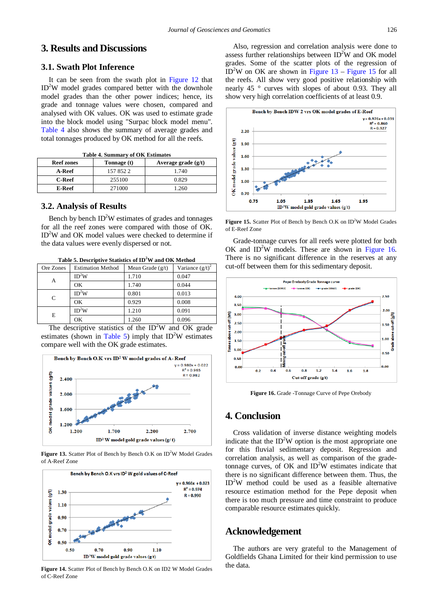# **3. Results and Discussions**

#### **3.1. Swath Plot Inference**

It can be seen from the swath plot in [Figure 12](#page-3-4) that ID<sup>2</sup>W model grades compared better with the downhole model grades than the other power indices; hence, its grade and tonnage values were chosen, compared and analysed with OK values. OK was used to estimate grade into the block model using "Surpac block model menu". [Table 4](#page-4-0) also shows the summary of average grades and total tonnages produced by OK method for all the reefs.

<span id="page-4-0"></span>

| Table 4. Summary of OK Estimates |             |                       |  |
|----------------------------------|-------------|-----------------------|--|
| <b>Reef zones</b>                | Tonnage (t) | Average grade $(g/t)$ |  |
| A-Reef                           | 1578522     | 1.740                 |  |
| <b>C-Reef</b>                    | 255100      | 0.829                 |  |
| E-Reef                           | 271000      | 1.260                 |  |

**Table 4. Summary of OK Estimates**

## **3.2. Analysis of Results**

Bench by bench  $ID<sup>2</sup>W$  estimates of grades and tonnages for all the reef zones were compared with those of OK. ID<sup>2</sup>W and OK model values were checked to determine if the data values were evenly dispersed or not.

**Table 5. Descriptive Statistics of ID<sup>2</sup> W and OK Method**

<span id="page-4-1"></span>

| Ore Zones | <b>Estimation Method</b> | Mean Grade $(g/t)$ | Variance $(g/t)^2$ |
|-----------|--------------------------|--------------------|--------------------|
|           | ID <sup>2</sup> W        | 1.710              | 0.047              |
| А         | OK                       | 1.740              | 0.044              |
|           | ID <sup>2</sup> W        | 0.801              | 0.013              |
| C         | OK                       | 0.929              | 0.008              |
|           | ID <sup>2</sup> W        | 1.210              | 0.091              |
| E         | OK                       | 1.260              | 0.096              |

The descriptive statistics of the  $ID<sup>2</sup>W$  and OK grade estimates (shown in [Table 5\)](#page-4-1) imply that  $ID<sup>2</sup>W$  estimates compare well with the OK grade estimates.

<span id="page-4-2"></span>

Figure 13. Scatter Plot of Bench by Bench O.K on ID<sup>2</sup>W Model Grades of A-Reef Zone



**Figure 14.** Scatter Plot of Bench by Bench O.K on ID2 W Model Grades of C-Reef Zone

Also, regression and correlation analysis were done to assess further relationships between  $ID<sup>2</sup>W$  and OK model grades. Some of the scatter plots of the regression of  $ID<sup>2</sup>W$  on OK are shown in [Figure 13](#page-4-2) – [Figure 15](#page-4-3) for all the reefs. All show very good positive relationship with nearly 45 ° curves with slopes of about 0.93. They all show very high correlation coefficients of at least 0.9.

<span id="page-4-3"></span>

Figure 15. Scatter Plot of Bench by Bench O.K on ID<sup>2</sup>W Model Grades of E-Reef Zone

Grade-tonnage curves for all reefs were plotted for both OK and  $ID<sup>2</sup>W$  models. These are shown in [Figure 16.](#page-4-4) There is no significant difference in the reserves at any cut-off between them for this sedimentary deposit.

<span id="page-4-4"></span>

**Figure 16.** Grade -Tonnage Curve of Pepe Orebody

## **4. Conclusion**

Cross validation of inverse distance weighting models indicate that the  $ID<sup>2</sup>W$  option is the most appropriate one for this fluvial sedimentary deposit. Regression and correlation analysis, as well as comparison of the gradetonnage curves, of OK and ID<sup>2</sup>W estimates indicate that there is no significant difference between them. Thus, the ID2 W method could be used as a feasible alternative resource estimation method for the Pepe deposit when there is too much pressure and time constraint to produce comparable resource estimates quickly.

# **Acknowledgement**

The authors are very grateful to the Management of Goldfields Ghana Limited for their kind permission to use the data.